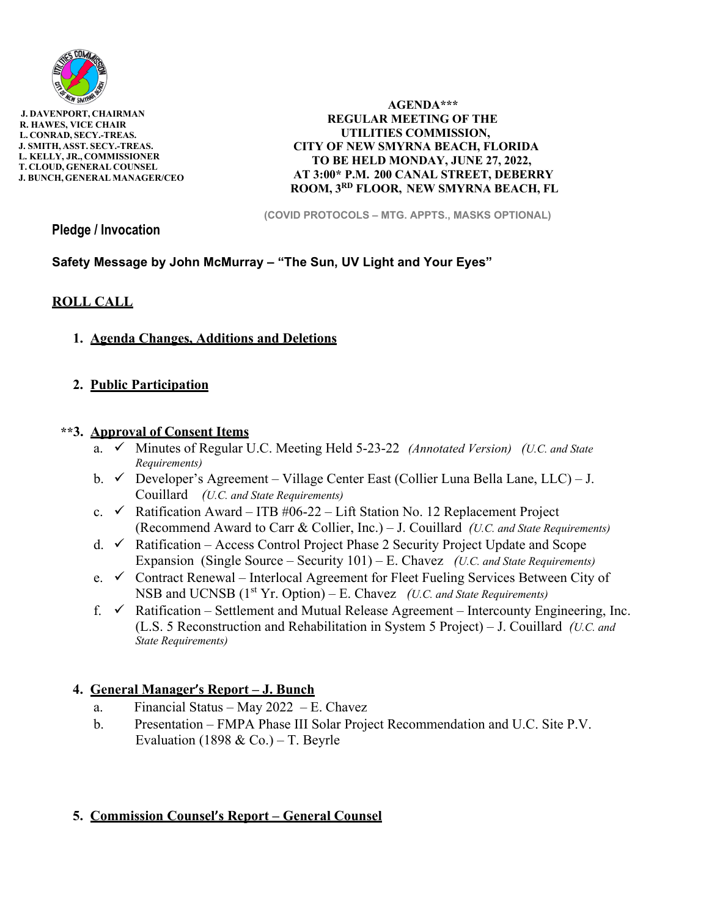

 **J. DAVENPORT, CHAIRMAN R. HAWES, VICE CHAIR L. CONRAD, SECY.-TREAS. J. SMITH, ASST. SECY.-TREAS. L. KELLY, JR., COMMISSIONER T. CLOUD, GENERAL COUNSEL J. BUNCH, GENERAL MANAGER/CEO** 

 **AGENDA\*\*\* REGULAR MEETING OF THE UTILITIES COMMISSION, CITY OF NEW SMYRNA BEACH, FLORIDA TO BE HELD MONDAY, JUNE 27, 2022, AT 3:00\* P.M. 200 CANAL STREET, DEBERRY ROOM, 3RD FLOOR, NEW SMYRNA BEACH, FL** 

**(COVID PROTOCOLS – MTG. APPTS., MASKS OPTIONAL)** 

**Pledge / Invocation** 

# **Safety Message by John McMurray – "The Sun, UV Light and Your Eyes"**

### **ROLL CALL**

**1. Agenda Changes, Additions and Deletions**

# **2. Public Participation**

### **\*\*3. Approval of Consent Items**

- a. Minutes of Regular U.C. Meeting Held 5-23-22 *(Annotated Version) (U.C. and State Requirements)*
- b.  $\checkmark$  Developer's Agreement Village Center East (Collier Luna Bella Lane, LLC) J. Couillard *(U.C. and State Requirements)*
- c.  $\checkmark$  Ratification Award ITB #06-22 Lift Station No. 12 Replacement Project (Recommend Award to Carr & Collier, Inc.) – J. Couillard *(U.C. and State Requirements)*
- d.  $\checkmark$  Ratification Access Control Project Phase 2 Security Project Update and Scope Expansion (Single Source – Security 101) – E. Chavez *(U.C. and State Requirements)*
- e.  $\checkmark$  Contract Renewal Interlocal Agreement for Fleet Fueling Services Between City of NSB and UCNSB (1<sup>st</sup> Yr. Option) – E. Chavez *(U.C. and State Requirements)*
- f.  $\checkmark$  Ratification Settlement and Mutual Release Agreement Intercounty Engineering, Inc. (L.S. 5 Reconstruction and Rehabilitation in System 5 Project) – J. Couillard *(U.C. and State Requirements)*

# **4. General Manager's Report – J. Bunch**

- a. Financial Status May 2022 E. Chavez
- b. Presentation FMPA Phase III Solar Project Recommendation and U.C. Site P.V. Evaluation (1898 & Co.) – T. Beyrle

# **5. Commission Counsel's Report – General Counsel**